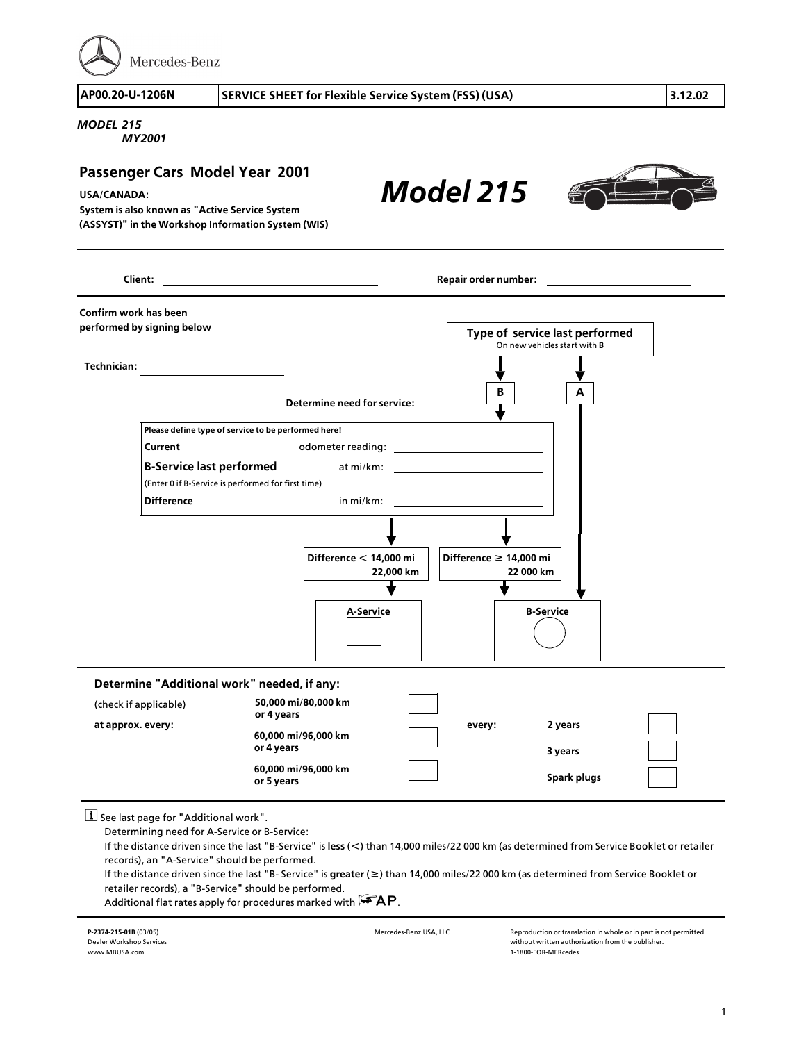Mercedes-Benz

## *MODEL 215*

*MY2001*

## *Model 215* **B A Technician: Client: Repair order number: Confirm work has been performed by signing below Type of service last performed** On new vehicles start with **B Determine need for service: Please define type of service to be performed here! Current Current odometer reading: <sup>B</sup>>Service last performed** at mi/km: (Enter 0 if B>Service is performed for first time) **Difference** in mi/km: **Passenger Cars Model Year 2001 USA/CANADA: System is also known as "Active Service System (ASSYST)" in the Workshop Information System (WIS)**



 $\boxed{\mathbf{i}}$  See last page for "Additional work".

Determining need for A>Service or B>Service:

If the distance driven since the last "B>Service" is **less** (**<**) than 14,000 miles/22 000 km (as determined from Service Booklet or retailer records), an "A>Service" should be performed.

If the distance driven since the last "B> Service" is **greater** (**f**) than 14,000 miles/22 000 km (as determined from Service Booklet or retailer records), a "B>Service" should be performed.

Additional flat rates apply for procedures marked with  $\mathbf{FAP}$ .

**<sup>P</sup>>2374>215>01B** (03/05) Dealer Workshop Services www.MBUSA.com

Mercedes>Benz USA, LLC Reproduction or translation in whole or in part is not permitted without written authorization from the publisher. <sup>1</sup>>1800>FOR>MERcedes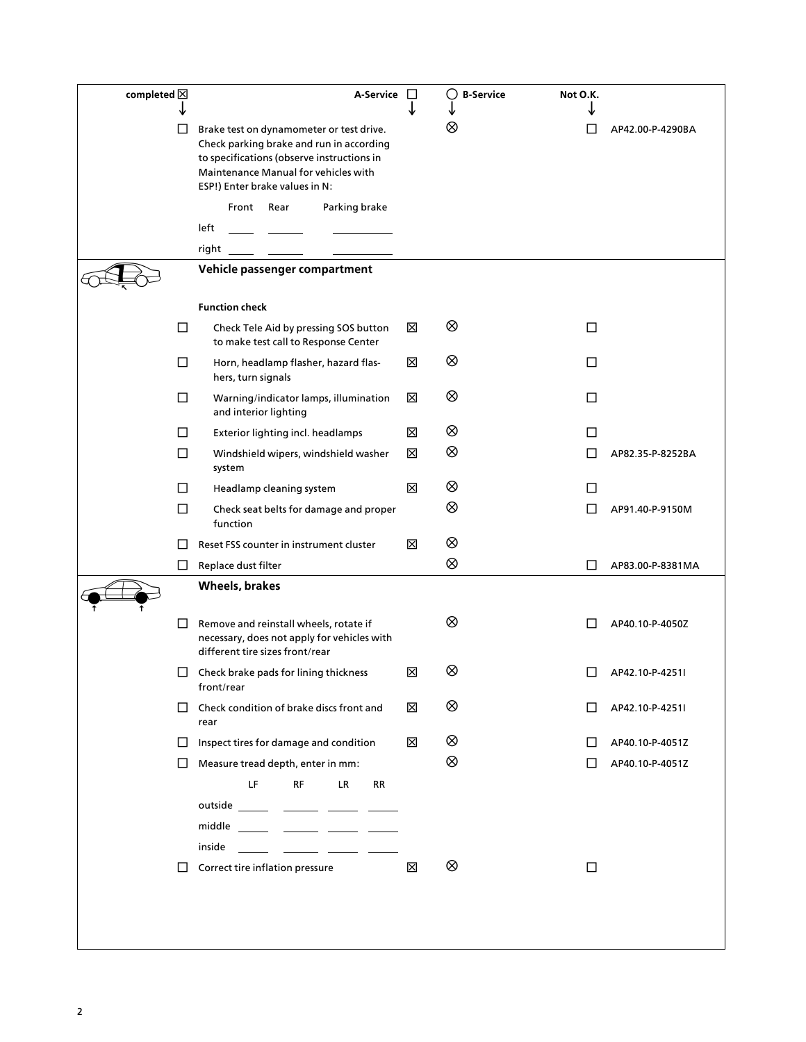| completed $\boxtimes$ |        | A-Service □                                                                                                                                                                                                                                                                                                                                                                                                                                                                              |   | $\circ$<br><b>B-Service</b> | Not O.K. |                  |
|-----------------------|--------|------------------------------------------------------------------------------------------------------------------------------------------------------------------------------------------------------------------------------------------------------------------------------------------------------------------------------------------------------------------------------------------------------------------------------------------------------------------------------------------|---|-----------------------------|----------|------------------|
|                       | LI     | Brake test on dynamometer or test drive.<br>Check parking brake and run in according<br>to specifications (observe instructions in<br>Maintenance Manual for vehicles with<br>ESP!) Enter brake values in N:                                                                                                                                                                                                                                                                             |   | ⊗                           |          | AP42.00-P-4290BA |
|                       |        | Parking brake<br>Front Rear                                                                                                                                                                                                                                                                                                                                                                                                                                                              |   |                             |          |                  |
|                       |        | left                                                                                                                                                                                                                                                                                                                                                                                                                                                                                     |   |                             |          |                  |
|                       |        | right<br>Vehicle passenger compartment                                                                                                                                                                                                                                                                                                                                                                                                                                                   |   |                             |          |                  |
|                       |        |                                                                                                                                                                                                                                                                                                                                                                                                                                                                                          |   |                             |          |                  |
|                       |        | <b>Function check</b>                                                                                                                                                                                                                                                                                                                                                                                                                                                                    |   |                             |          |                  |
|                       | □      | Check Tele Aid by pressing SOS button<br>to make test call to Response Center                                                                                                                                                                                                                                                                                                                                                                                                            | ⊠ | ⊗                           | □        |                  |
|                       | $\Box$ | Horn, headlamp flasher, hazard flas-<br>hers, turn signals                                                                                                                                                                                                                                                                                                                                                                                                                               | ⊠ | ⊗                           | □        |                  |
|                       | □      | Warning/indicator lamps, illumination<br>and interior lighting                                                                                                                                                                                                                                                                                                                                                                                                                           | ⊠ | ⊗                           | $\Box$   |                  |
|                       | $\Box$ | Exterior lighting incl. headlamps                                                                                                                                                                                                                                                                                                                                                                                                                                                        | X | ⊗                           | $\Box$   |                  |
|                       | $\Box$ | Windshield wipers, windshield washer<br>system                                                                                                                                                                                                                                                                                                                                                                                                                                           | ⊠ | ⊗                           | П        | AP82.35-P-8252BA |
|                       | □      | Headlamp cleaning system                                                                                                                                                                                                                                                                                                                                                                                                                                                                 | X | ⊗                           | L        |                  |
|                       | $\Box$ | Check seat belts for damage and proper<br>function                                                                                                                                                                                                                                                                                                                                                                                                                                       |   | ⊗                           | $\Box$   | AP91.40-P-9150M  |
|                       |        | Reset FSS counter in instrument cluster                                                                                                                                                                                                                                                                                                                                                                                                                                                  | ⊠ | ⊗                           |          |                  |
|                       | ⊔      | Replace dust filter                                                                                                                                                                                                                                                                                                                                                                                                                                                                      |   | ⊗                           | $\perp$  | AP83.00-P-8381MA |
|                       |        | Wheels, brakes                                                                                                                                                                                                                                                                                                                                                                                                                                                                           |   |                             |          |                  |
|                       | П      | Remove and reinstall wheels, rotate if<br>necessary, does not apply for vehicles with<br>different tire sizes front/rear                                                                                                                                                                                                                                                                                                                                                                 |   | ⊗                           |          | AP40.10-P-4050Z  |
|                       |        | $\Box$ Check brake pads for lining thickness<br>front/rear                                                                                                                                                                                                                                                                                                                                                                                                                               | X | ⊗                           |          | AP42.10-P-4251I  |
|                       | $\Box$ | Check condition of brake discs front and<br>rear                                                                                                                                                                                                                                                                                                                                                                                                                                         | 区 | ⊗                           | $\Box$   | AP42.10-P-4251I  |
|                       | $\Box$ | Inspect tires for damage and condition                                                                                                                                                                                                                                                                                                                                                                                                                                                   | ⊠ | ⊗                           | $\perp$  | AP40.10-P-4051Z  |
|                       | $\Box$ | Measure tread depth, enter in mm:                                                                                                                                                                                                                                                                                                                                                                                                                                                        |   | ⊗                           | $\perp$  | AP40.10-P-4051Z  |
|                       |        | LF<br><b>RF</b><br>LR.<br>RR                                                                                                                                                                                                                                                                                                                                                                                                                                                             |   |                             |          |                  |
|                       |        | outside ______ ______ ______ _____                                                                                                                                                                                                                                                                                                                                                                                                                                                       |   |                             |          |                  |
|                       |        | middle $\begin{array}{ccc} \hline \multicolumn{3}{c}{} & \multicolumn{3}{c}{} & \multicolumn{3}{c}{} & \multicolumn{3}{c}{} & \multicolumn{3}{c}{} & \multicolumn{3}{c}{} & \multicolumn{3}{c}{} & \multicolumn{3}{c}{} & \multicolumn{3}{c}{} & \multicolumn{3}{c}{} & \multicolumn{3}{c}{} & \multicolumn{3}{c}{} & \multicolumn{3}{c}{} & \multicolumn{3}{c}{} & \multicolumn{3}{c}{} & \multicolumn{3}{c}{} & \multicolumn{3}{c}{} & \multicolumn{3}{c}{} & \multicolumn{$<br>inside |   |                             |          |                  |
|                       | $\Box$ | Correct tire inflation pressure                                                                                                                                                                                                                                                                                                                                                                                                                                                          | 区 | ⊗                           | $\Box$   |                  |
|                       |        |                                                                                                                                                                                                                                                                                                                                                                                                                                                                                          |   |                             |          |                  |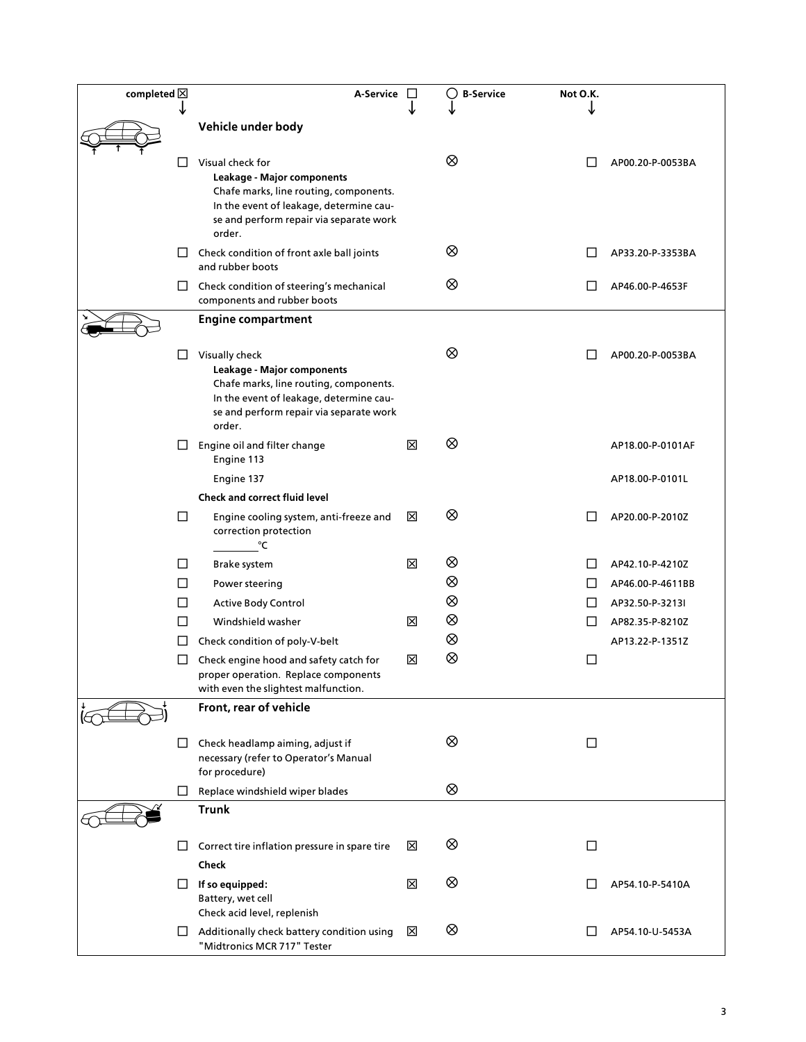| completed $\boxtimes$ |        | A-Service                                                                                                                                                                                |   | ( )<br><b>B-Service</b> | Not O.K.     |                  |
|-----------------------|--------|------------------------------------------------------------------------------------------------------------------------------------------------------------------------------------------|---|-------------------------|--------------|------------------|
|                       |        | Vehicle under body                                                                                                                                                                       |   |                         |              |                  |
|                       |        |                                                                                                                                                                                          |   |                         |              |                  |
|                       | ப      | Visual check for<br>Leakage - Major components<br>Chafe marks, line routing, components.<br>In the event of leakage, determine cau-<br>se and perform repair via separate work<br>order. |   | ⊗                       |              | AP00.20-P-0053BA |
|                       | Ш      | Check condition of front axle ball joints<br>and rubber boots                                                                                                                            |   | ⊗                       |              | AP33.20-P-3353BA |
|                       |        | $\Box$ Check condition of steering's mechanical<br>components and rubber boots                                                                                                           |   | ⊗                       |              | AP46.00-P-4653F  |
|                       |        | <b>Engine compartment</b>                                                                                                                                                                |   |                         |              |                  |
|                       | □      | Visually check<br>Leakage - Major components<br>Chafe marks, line routing, components.<br>In the event of leakage, determine cau-<br>se and perform repair via separate work<br>order.   |   | ⊗                       |              | AP00.20-P-0053BA |
|                       | ப      | Engine oil and filter change<br>Engine 113                                                                                                                                               | ⊠ | ⊗                       |              | AP18.00-P-0101AF |
|                       |        | Engine 137                                                                                                                                                                               |   |                         |              | AP18.00-P-0101L  |
|                       |        | <b>Check and correct fluid level</b>                                                                                                                                                     |   |                         |              |                  |
|                       | □      | Engine cooling system, anti-freeze and<br>correction protection<br>$\mathcal{C}$                                                                                                         | ⊠ | ⊗                       |              | AP20.00-P-2010Z  |
|                       | Ш      | Brake system                                                                                                                                                                             | ⊠ | ⊗                       |              | AP42.10-P-4210Z  |
|                       | $\Box$ | Power steering                                                                                                                                                                           |   | ⊗                       | ΙI           | AP46.00-P-4611BB |
|                       | $\Box$ | <b>Active Body Control</b>                                                                                                                                                               |   | ⊗                       | $\mathsf{L}$ | AP32.50-P-3213I  |
|                       | Ш      | Windshield washer                                                                                                                                                                        | 図 | ⊗                       | LI           | AP82.35-P-8210Z  |
|                       | LI     | Check condition of poly-V-belt                                                                                                                                                           |   | ⊗                       |              | AP13.22-P-1351Z  |
|                       | ப      | Check engine hood and safety catch for<br>proper operation. Replace components<br>with even the slightest malfunction.                                                                   | ⊠ | ⊗                       | ப            |                  |
|                       |        | Front, rear of vehicle                                                                                                                                                                   |   |                         |              |                  |
|                       | ⊔      | Check headlamp aiming, adjust if<br>necessary (refer to Operator's Manual<br>for procedure)                                                                                              |   | ⊗                       | □            |                  |
|                       | ப      | Replace windshield wiper blades                                                                                                                                                          |   | ⊗                       |              |                  |
|                       |        | <b>Trunk</b>                                                                                                                                                                             |   |                         |              |                  |
|                       | ⊔      | Correct tire inflation pressure in spare tire<br>Check                                                                                                                                   | ⊠ | ⊗                       | □            |                  |
|                       | ப      | If so equipped:<br>Battery, wet cell<br>Check acid level, replenish                                                                                                                      | ⊠ | ⊗                       |              | AP54.10-P-5410A  |
|                       |        | $\Box$ Additionally check battery condition using<br>"Midtronics MCR 717" Tester                                                                                                         | ⊠ | ⊗                       |              | AP54.10-U-5453A  |